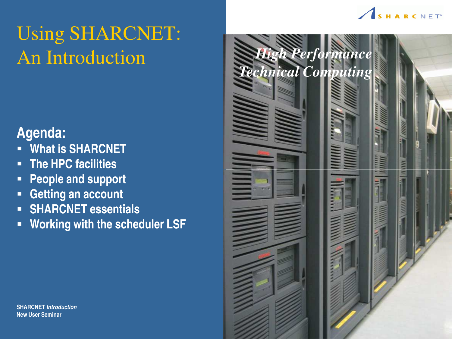

# Using SHARCNET: An Introduction

#### **Agenda:**

- § **What is SHARCNET**
- § **The HPC facilities**
- § **People and support**
- § **Getting an account**
- § **SHARCNET essentials**
- § **Working with the scheduler LSF**



**SHARCNET Introduction New User Seminar**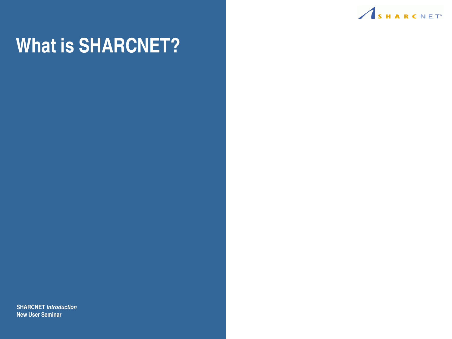

# **What is SHARCNET?**

**SHARCNET Introduction New User Seminar**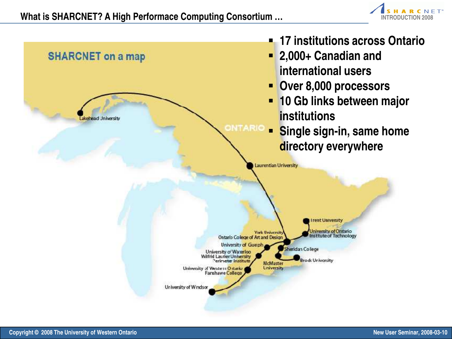

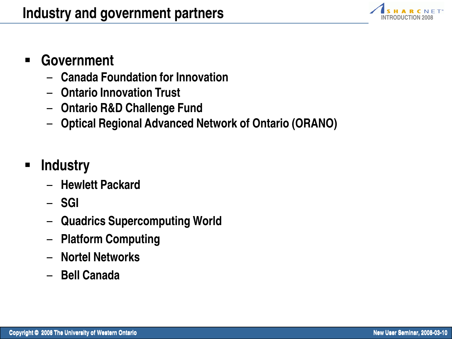

#### § **Government**

- **Canada Foundation for Innovation**
- **Ontario Innovation Trust**
- **Ontario R&D Challenge Fund**
- **Optical Regional Advanced Network of Ontario (ORANO)**
- § **Industry**
	- **Hewlett Packard**
	- **SGI**
	- **Quadrics Supercomputing World**
	- **Platform Computing**
	- **Nortel Networks**
	- **Bell Canada**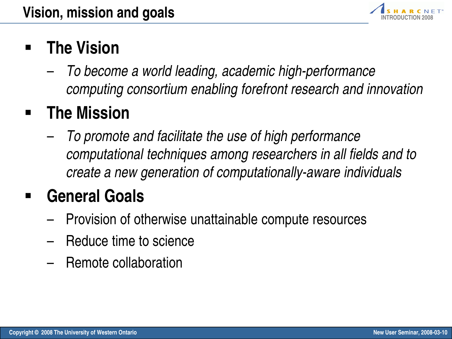

# § **The Vision**

– To become a world leading, academic high-performance computing consortium enabling forefront research and innovation

# § **The Mission**

– To promote and facilitate the use of high performance computational techniques among researchers in all fields and to create a new generation of computationally-aware individuals

# § **General Goals**

- Provision of otherwise unattainable compute resources
- Reduce time to science
- Remote collaboration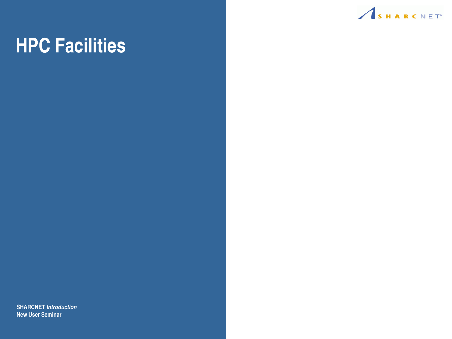

# **HPC Facilities**

**SHARCNET Introduction New User Seminar**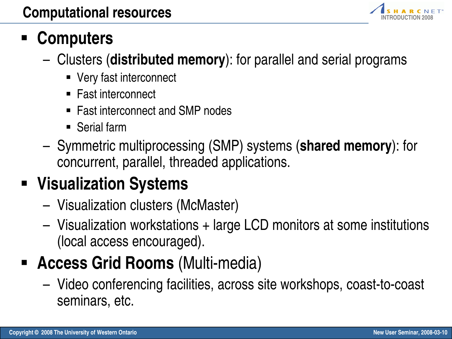

# § **Computers**

- Clusters (**distributed memory**): for parallel and serial programs
	- Very fast interconnect
	- Fast interconnect
	- Fast interconnect and SMP nodes
	- Serial farm
- Symmetric multiprocessing (SMP) systems (**shared memory**): for concurrent, parallel, threaded applications.

# § **Visualization Systems**

- Visualization clusters (McMaster)
- Visualization workstations + large LCD monitors at some institutions (local access encouraged).
- § **Access Grid Rooms** (Multi-media)
	- Video conferencing facilities, across site workshops, coast-to-coast seminars, etc.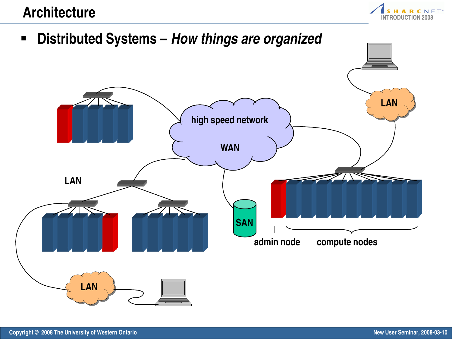

§ **Distributed Systems – How things are organized**

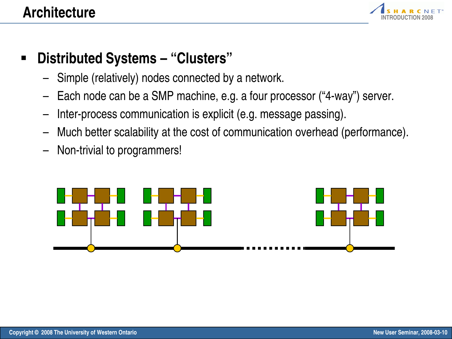

- § **Distributed Systems "Clusters"**
	- Simple (relatively) nodes connected by a network.
	- Each node can be a SMP machine, e.g. a four processor ("4-way") server.
	- Inter-process communication is explicit (e.g. message passing).
	- Much better scalability at the cost of communication overhead (performance).
	- Non-trivial to programmers!

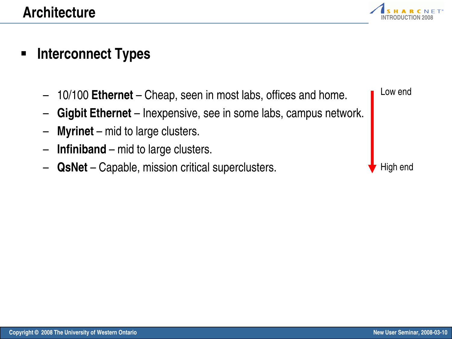

#### § **Interconnect Types**

- 10/100 **Ethernet** Cheap, seen in most labs, offices and home.
- **Gigbit Ethernet** Inexpensive, see in some labs, campus network.
- **Myrinet** mid to large clusters.
- **Infiniband** mid to large clusters.
- **QsNet** Capable, mission critical superclusters.



Low end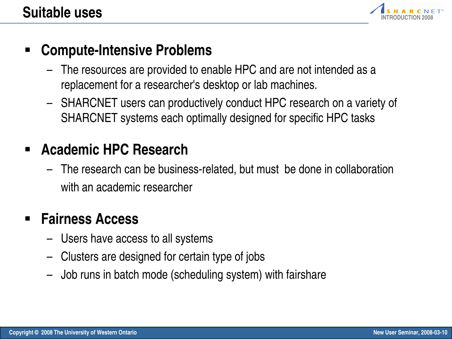

#### § **Compute-Intensive Problems**

- The resources are provided to enable HPC and are not intended as a replacement for a researcher's desktop or lab machines.
- SHARCNET users can productively conduct HPC research on a variety of SHARCNET systems each optimally designed for specific HPC tasks

#### § **Academic HPC Research**

– The research can be business-related, but must be done in collaboration with an academic researcher

#### § **Fairness Access**

- Users have access to all systems
- Clusters are designed for certain type of jobs
- Job runs in batch mode (scheduling system) with fairshare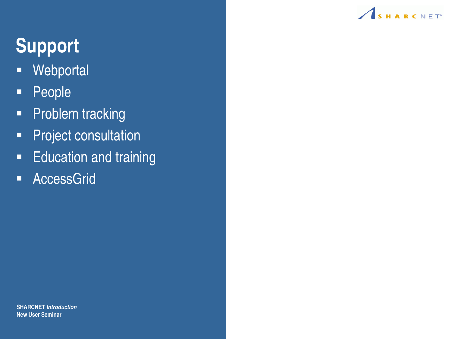

# **Support**

- Webportal
- § People
- Problem tracking
- **•** Project consultation
- **Education and training**
- AccessGrid

**SHARCNET Introduction New User Seminar**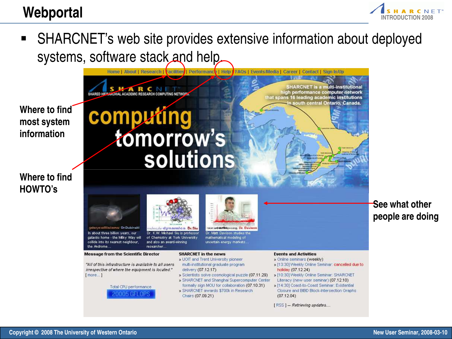

■ SHARCNET's web site provides extensive information about deployed systems, software stack and help.

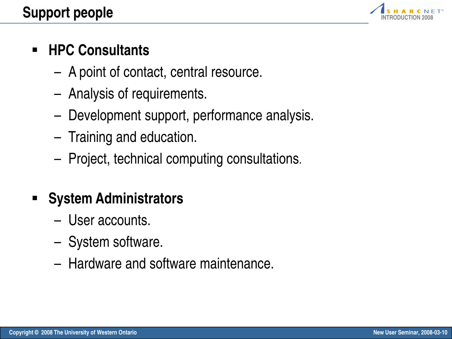

## § **HPC Consultants**

- A point of contact, central resource.
- Analysis of requirements.
- Development support, performance analysis.
- Training and education.
- Project, technical computing consultations.

## § **System Administrators**

- User accounts.
- System software.
- Hardware and software maintenance.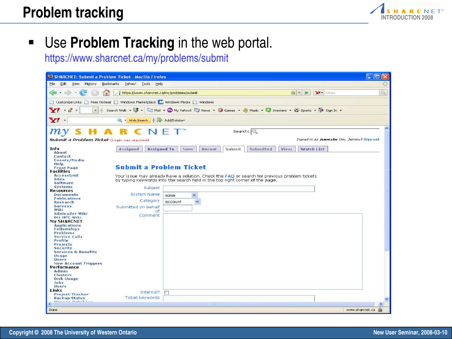

§ Use **Problem Tracking** in the web portal.

https://www.sharcnet.ca/my/problems/submit

| SHARCNET: Submit a Problem Ticket - Mozilla Firefox                                                                                                                                                                                                                                                                                                                                               |                                                                                   |                                                                                                                                                                                                                       | <b>I</b> En<br><b>COL</b>                                          |              |  |  |  |  |  |
|---------------------------------------------------------------------------------------------------------------------------------------------------------------------------------------------------------------------------------------------------------------------------------------------------------------------------------------------------------------------------------------------------|-----------------------------------------------------------------------------------|-----------------------------------------------------------------------------------------------------------------------------------------------------------------------------------------------------------------------|--------------------------------------------------------------------|--------------|--|--|--|--|--|
| File<br>Edit<br>View<br>History                                                                                                                                                                                                                                                                                                                                                                   | Bookmarks Yahoo! Tools Help                                                       |                                                                                                                                                                                                                       |                                                                    |              |  |  |  |  |  |
| e                                                                                                                                                                                                                                                                                                                                                                                                 | https://www.sharcnet.ca/my/problems/submit                                        |                                                                                                                                                                                                                       | $\left \frac{1}{2}x\right $<br>$\triangleright$<br><b>Y?</b> Yahoo | $\mathbb{Q}$ |  |  |  |  |  |
| Customize Links   Free Hotmail   Windows Marketplace   M Windows Media   Windows                                                                                                                                                                                                                                                                                                                  |                                                                                   |                                                                                                                                                                                                                       |                                                                    |              |  |  |  |  |  |
| $Y' - \ell$ .<br>Search Web $\star$<br>Mail + WW My Yahoo! Thews + G Games + C Music + C Answers + C Sports + T Sign In +<br>w.                                                                                                                                                                                                                                                                   |                                                                                   |                                                                                                                                                                                                                       |                                                                    |              |  |  |  |  |  |
| Y' -                                                                                                                                                                                                                                                                                                                                                                                              | Q - Web Search   St Add/Delete                                                    |                                                                                                                                                                                                                       |                                                                    |              |  |  |  |  |  |
| $\bm{m}$                                                                                                                                                                                                                                                                                                                                                                                          |                                                                                   |                                                                                                                                                                                                                       | Search: O                                                          | ×            |  |  |  |  |  |
| Submit a Problem Ticket (Login was required)                                                                                                                                                                                                                                                                                                                                                      |                                                                                   |                                                                                                                                                                                                                       | Signed-in as jemmyhu (Hu, Jemmy) Sign out                          |              |  |  |  |  |  |
| Info<br>About<br><b>Contact</b><br>Events/Media<br>Help<br><b>Front Page</b>                                                                                                                                                                                                                                                                                                                      | <b>Assigned</b><br><b>Assigned To</b><br><b>Submit a Problem Ticket</b>           | New<br>Recent<br>Submit                                                                                                                                                                                               | Submitted<br><b>Watch List</b><br>View                             |              |  |  |  |  |  |
| <b>Facilities</b><br><b>AccessGrid</b><br><b>Sites</b><br><b>Software</b><br><b>Systems</b><br><b>Resources</b><br><b>Documents</b><br><b>Publications</b><br>Research<br><b>Surveys</b><br>Wiki<br>Siteleader Wiki<br><b>DH-HPC Wiki</b><br><b>My SHARCNET</b><br><b>Applications</b><br><b>Fellowships</b><br><b>Problems</b><br><b>Service Calls</b><br>Profile<br>Projects<br><b>Security</b> | Subject<br><b>System Name</b><br>Category<br>Submitted on behalf<br>of<br>Comment | Your issue may already have a solution. Check the FAQ or search for previous problem tickets<br>by typing keywords into the search field in the top right corner of the page.<br>$\checkmark$<br>none<br>×<br>account |                                                                    |              |  |  |  |  |  |
| <b>Services &amp; Benefits</b><br>Usage<br><b>Users</b><br><b>New Account Triggers</b><br>Performance<br><b>Admin</b><br><b>Clusters</b><br>Disk Usage<br>Jobs<br><b>Users</b><br>Links<br><b>Project Tracker</b><br><b>Backup Status</b>                                                                                                                                                         | Internal?<br><b>Ticket keywords</b>                                               | $\Box$                                                                                                                                                                                                                |                                                                    |              |  |  |  |  |  |
| K.                                                                                                                                                                                                                                                                                                                                                                                                |                                                                                   | Ш                                                                                                                                                                                                                     | $\geq$                                                             |              |  |  |  |  |  |
| Done                                                                                                                                                                                                                                                                                                                                                                                              |                                                                                   |                                                                                                                                                                                                                       | <b>Sec</b><br>www.sharcnet.ca                                      |              |  |  |  |  |  |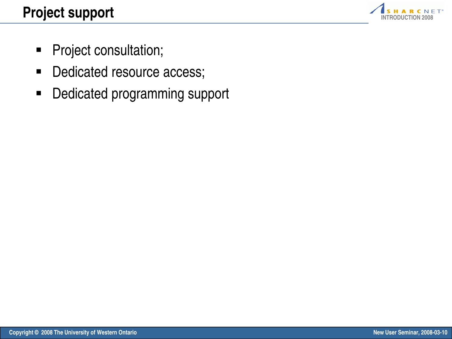

- **•** Project consultation;
- Dedicated resource access;
- Dedicated programming support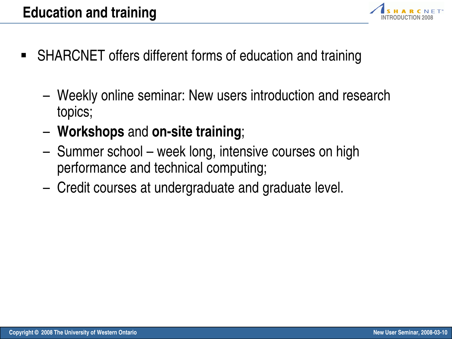

- SHARCNET offers different forms of education and training
	- Weekly online seminar: New users introduction and research topics;
	- **Workshops** and **on-site training**;
	- Summer school week long, intensive courses on high performance and technical computing;
	- Credit courses at undergraduate and graduate level.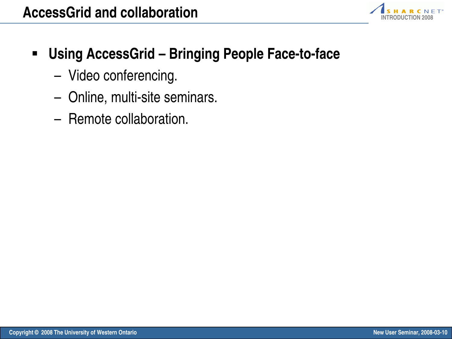

- § **Using AccessGrid Bringing People Face-to-face**
	- Video conferencing.
	- Online, multi-site seminars.
	- Remote collaboration.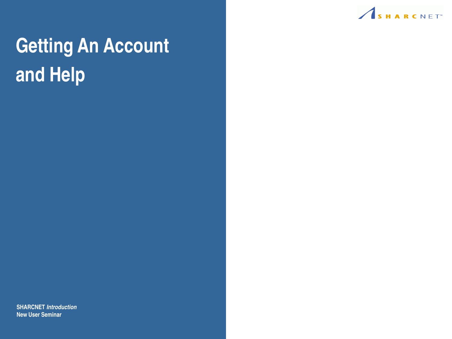

# **Getting An Account and Help**

**SHARCNET Introduction New User Seminar**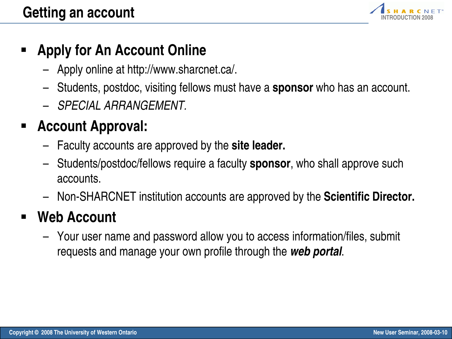

#### § **Apply for An Account Online**

- Apply online at http://www.sharcnet.ca/.
- Students, postdoc, visiting fellows must have a **sponsor** who has an account.
- SPECIAL ARRANGEMENT.

## § **Account Approval:**

- Faculty accounts are approved by the **site leader.**
- Students/postdoc/fellows require a faculty **sponsor**, who shall approve such accounts.
- Non-SHARCNET institution accounts are approved by the **Scientific Director.**

### § **Web Account**

– Your user name and password allow you to access information/files, submit requests and manage your own profile through the **web portal**.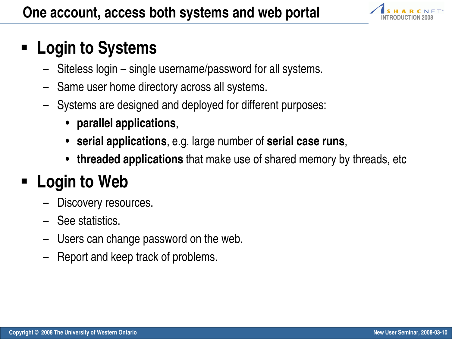

## § **Login to Systems**

- Siteless login single username/password for all systems.
- Same user home directory across all systems.
- Systems are designed and deployed for different purposes:
	- **parallel applications**,
	- **serial applications**, e.g. large number of **serial case runs**,
	- **threaded applications** that make use of shared memory by threads, etc

# § **Login to Web**

- Discovery resources.
- See statistics.
- Users can change password on the web.
- Report and keep track of problems.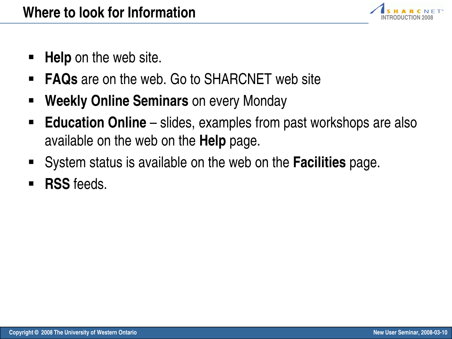

- **Help** on the web site.
- **FAQs** are on the web. Go to SHARCNET web site
- § **Weekly Online Seminars** on every Monday
- **Education Online** slides, examples from past workshops are also available on the web on the **Help** page.
- § System status is available on the web on the **Facilities** page.
- § **RSS** feeds.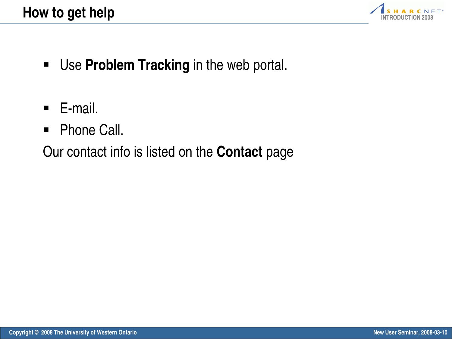

- **Use Problem Tracking** in the web portal.
- E-mail.
- Phone Call.

Our contact info is listed on the **Contact** page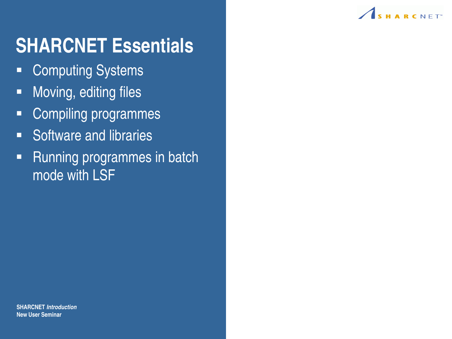

# **SHARCNET Essentials**

- Computing Systems
- Moving, editing files
- Compiling programmes
- Software and libraries
- Running programmes in batch mode with LSF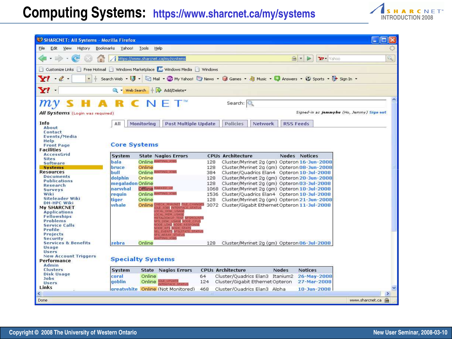#### **Computing Systems: https://www.sharcnet.ca/my/systems ALIS HARCNETT**



| SHARCNET: All Systems - Mozilla Firefox                                          |                        |                                                       |                                     |                                                                                     |                                           |
|----------------------------------------------------------------------------------|------------------------|-------------------------------------------------------|-------------------------------------|-------------------------------------------------------------------------------------|-------------------------------------------|
| File<br>Edit View History                                                        | Bookmarks Yahoo! Tools | Help                                                  |                                     |                                                                                     |                                           |
| $\sim$                                                                           |                        | https://www.sharcnet.ca/my/systems                    |                                     | $\triangleright$<br>Yahoo<br>$x = 7$                                                | Q,                                        |
| Customize Links   Free Hotmail   Windows Marketplace   M Windows Media   Windows |                        |                                                       |                                     |                                                                                     |                                           |
| $-2$ .<br>÷.                                                                     | Search Web $\star$     |                                                       |                                     | Mail + WV My Yahoo! W News + G Games + G Music + G Answers + C Sports + D Sign In + |                                           |
|                                                                                  |                        |                                                       |                                     |                                                                                     |                                           |
| Yľ                                                                               |                        | Web Search   St Add/Delete                            |                                     |                                                                                     |                                           |
|                                                                                  |                        |                                                       | Search: O                           |                                                                                     | ۸                                         |
| All Systems (Login was required)                                                 |                        |                                                       |                                     |                                                                                     | Signed-in as jemmyhu (Hu, Jemmy) Sign out |
| Info                                                                             | All                    | <b>Post Multiple Update</b><br><b>Monitoring</b>      | Policies                            | <b>Network</b><br><b>RSS Feeds</b>                                                  |                                           |
| About                                                                            |                        |                                                       |                                     |                                                                                     |                                           |
| Contact                                                                          |                        |                                                       |                                     |                                                                                     |                                           |
| Events/Media<br>Help                                                             |                        |                                                       |                                     |                                                                                     |                                           |
| <b>Front Page</b>                                                                | <b>Core Systems</b>    |                                                       |                                     |                                                                                     |                                           |
| <b>Facilities</b>                                                                |                        |                                                       |                                     |                                                                                     |                                           |
| <b>AccessGrid</b>                                                                | System                 | <b>State Nagios Errors</b>                            | <b>CPUs Architecture</b>            | Nodes Notices                                                                       |                                           |
| <b>Sites</b><br><b>Software</b>                                                  | bala                   | Online WAITING JOBS                                   | 128                                 | Cluster/Myrinet 2g (gm) Opteron 16-Jun-2008                                         |                                           |
| <b>Systems</b>                                                                   | bruce                  | Online                                                | 128                                 | Cluster/Myrinet 2a (am) Opteron 08-Jun-2008                                         |                                           |
| <b>Resources</b>                                                                 | bull                   | Online WAITING, IGNS                                  | 384                                 | Cluster/Quadrics Elan4 Opteron 10-Jul-2008                                          |                                           |
| <b>Documents</b>                                                                 | dolphin                | Online                                                | 128                                 | Cluster/Myrinet 2g (gm) Opteron 20-Jun-2008                                         |                                           |
| Publications                                                                     | megaladon Online       |                                                       | 128                                 | Cluster/Myrinet 2g (gm) Opteron 03-3ul-2008                                         |                                           |
| Research<br><b>Surveys</b>                                                       | narwhal                | Offline MARKED U                                      |                                     | 1068 Cluster/Myrinet 2g (gm) Opteron 10-3ul-2008                                    |                                           |
| Wiki                                                                             | requin                 | Online WAITING, ICE                                   |                                     | 1536 Cluster/Ouadrics Elan4 Opteron 10-3ul-2008                                     |                                           |
| Siteleader Wiki                                                                  | tiger                  | Online                                                | 128                                 | Cluster/Myrinet 2a (am) Opteron 21-Jun-2008                                         |                                           |
| <b>DH-HPC Wiki</b>                                                               | whale                  | <b>ECA, MYRINET FILE CHANGES</b><br>Online            |                                     | 3072 Cluster/Gigabit Ethernet Opteron 11-Jul-2008                                   |                                           |
| <b>My SHARCNET</b>                                                               |                        | <b>JOBS INTERFA</b>                                   |                                     |                                                                                     |                                           |
| <b>Applications</b><br><b>Fellowships</b>                                        |                        | CAL MEM USAGE                                         |                                     |                                                                                     |                                           |
| <b>Problems</b>                                                                  |                        | <b>ETALOOKUP TEST NESMOUNTS</b><br>DISK USAGE NODE CP |                                     |                                                                                     |                                           |
| <b>Service Calls</b>                                                             |                        | LOAD NODE HESPONS                                     |                                     |                                                                                     |                                           |
| Profile                                                                          |                        | <b>STATS</b><br><b>EVENTS SESISTATE</b>               |                                     |                                                                                     |                                           |
| Projects                                                                         |                        | <b>FS ARAAY STATU</b><br><b>MITTHIS IGA</b>           |                                     |                                                                                     |                                           |
| <b>Security</b><br><b>Services &amp; Benefits</b>                                | zebra                  | Online                                                | 128                                 | Cluster/Myrinet 2q (gm) Opteron 06-3ul-2008                                         |                                           |
| Usage                                                                            |                        |                                                       |                                     |                                                                                     |                                           |
| <b>Users</b>                                                                     |                        |                                                       |                                     |                                                                                     |                                           |
| <b>New Account Triggers</b>                                                      |                        | <b>Specialty Systems</b>                              |                                     |                                                                                     |                                           |
| Performance                                                                      |                        |                                                       |                                     |                                                                                     |                                           |
| Admin<br><b>Clusters</b>                                                         | System                 | <b>State Nagios Errors</b>                            | <b>CPUs Architecture</b>            | <b>Nodes</b><br><b>Notices</b>                                                      |                                           |
| Disk Usage                                                                       |                        |                                                       |                                     |                                                                                     |                                           |
| <b>Jobs</b>                                                                      | coral                  | Online                                                | 64                                  | Cluster/Quadrics Elan3 Itanium2<br>26-May-2008                                      |                                           |
| <b>Users</b>                                                                     | goblin                 | Online <b>IDLE</b> UPDATE                             | 124                                 | Cluster/Gigabit Ethernet Opteron<br>27-Mar-2008                                     |                                           |
| Links                                                                            |                        | areatwhite Online (Not Monitored)                     | 468<br>Cluster/Ouadrics Elan3 Alpha | $10 - Jun - 2008$                                                                   |                                           |
| ≺                                                                                |                        |                                                       |                                     |                                                                                     | >                                         |
| Done                                                                             |                        |                                                       |                                     |                                                                                     | www.sharcnet.ca<br><b>Sec</b>             |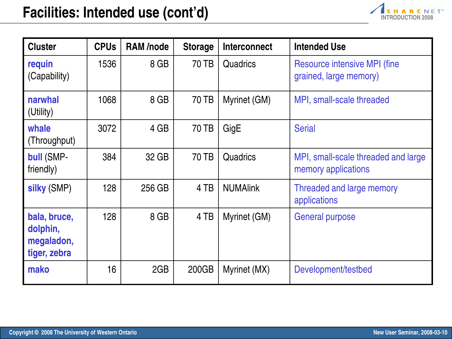

| <b>Cluster</b>                                         | <b>CPUs</b> | <b>RAM/node</b> | <b>Storage</b> | <b>Interconnect</b> | <b>Intended Use</b>                                           |
|--------------------------------------------------------|-------------|-----------------|----------------|---------------------|---------------------------------------------------------------|
| requin<br>(Capability)                                 | 1536        | 8 GB            | 70 TB          | <b>Quadrics</b>     | <b>Resource intensive MPI (fine</b><br>grained, large memory) |
| narwhal<br>(Utility)                                   | 1068        | 8 GB            | 70 TB          | Myrinet (GM)        | MPI, small-scale threaded                                     |
| whale<br>(Throughput)                                  | 3072        | 4 GB            | <b>70 TB</b>   | GigE                | <b>Serial</b>                                                 |
| <b>bull (SMP-</b><br>friendly)                         | 384         | 32 GB           | 70 TB          | Quadrics            | MPI, small-scale threaded and large<br>memory applications    |
| silky (SMP)                                            | 128         | 256 GB          | 4 TB           | <b>NUMAlink</b>     | Threaded and large memory<br>applications                     |
| bala, bruce,<br>dolphin,<br>megaladon,<br>tiger, zebra | 128         | 8 GB            | 4 TB           | Myrinet (GM)        | <b>General purpose</b>                                        |
| mako                                                   | 16          | 2GB             | 200GB          | Myrinet (MX)        | Development/testbed                                           |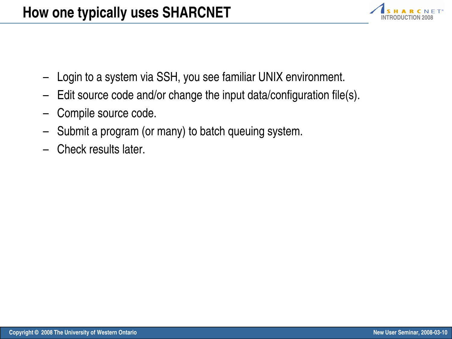

- Login to a system via SSH, you see familiar UNIX environment.
- Edit source code and/or change the input data/configuration file(s).
- Compile source code.
- Submit a program (or many) to batch queuing system.
- Check results later.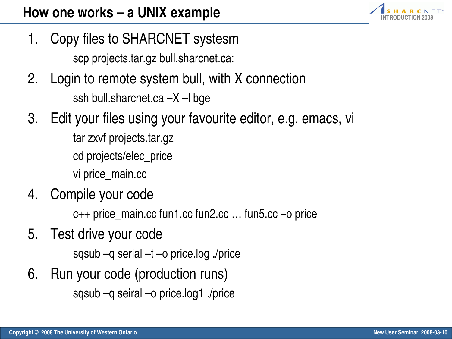

1. Copy files to SHARCNET systesm

scp projects.tar.gz bull.sharcnet.ca:

- 2. Login to remote system bull, with X connection ssh bull.sharcnet.ca –X –l bge
- 3. Edit your files using your favourite editor, e.g. emacs, vi

tar zxvf projects.tar.gz cd projects/elec\_price vi price\_main.cc

4. Compile your code

c++ price\_main.cc fun1.cc fun2.cc … fun5.cc –o price

5. Test drive your code

sqsub –q serial –t –o price.log ./price

6. Run your code (production runs) sqsub –q seiral –o price.log1 ./price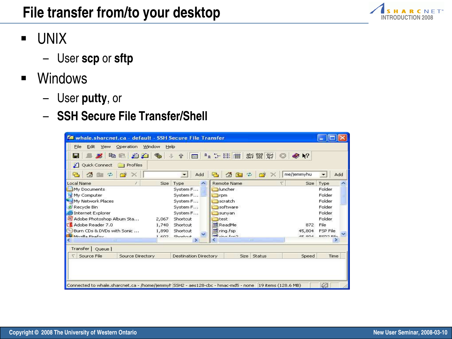

- § UNIX
	- User **scp** or **sftp**
- § Windows
	- User **putty**, or
	- **SSH Secure File Transfer/Shell**

| Whale, sharcnet.ca - default - SSH Secure File Transfer                                                                                           |                                     |                      |            |                                 |  |  |  |  |  |
|---------------------------------------------------------------------------------------------------------------------------------------------------|-------------------------------------|----------------------|------------|---------------------------------|--|--|--|--|--|
| Edit<br>File<br>Operation<br>Window<br>Help<br>View                                                                                               |                                     |                      |            |                                 |  |  |  |  |  |
| $\frac{abc}{def}$ $\frac{010}{101}$ $\frac{015}{64}$<br>$\frac{8-87}{8-87}$<br>212<br>眙<br><b>CALL OF</b><br>$\bullet$ $\geq$<br>北<br>$\hat{\pi}$ |                                     |                      |            |                                 |  |  |  |  |  |
| Quick Connect<br><b>Profiles</b>                                                                                                                  |                                     |                      |            |                                 |  |  |  |  |  |
| 合<br>5<br>÷                                                                                                                                       | Add<br>$\overline{\phantom{a}}$     | ◎国中<br>43            | me/jemmyhu | $\overline{\phantom{a}}$<br>Add |  |  |  |  |  |
| Local Name<br>ž.                                                                                                                                  | Size<br>Type<br>$\hat{\phantom{a}}$ | <b>Remote Name</b>   | Size       | Type                            |  |  |  |  |  |
| My Documents                                                                                                                                      | System F                            | <b>Dluncher</b>      |            | Folder                          |  |  |  |  |  |
| My Computer                                                                                                                                       | System F                            | <b>T</b> rpm         |            | Folder                          |  |  |  |  |  |
| My Network Places                                                                                                                                 | System F                            | scratch              |            | Folder                          |  |  |  |  |  |
| Recycle Bin                                                                                                                                       | System F                            | software             |            | Folder                          |  |  |  |  |  |
| <b>D</b> Internet Explorer                                                                                                                        | System F                            | sunyan               |            | Folder                          |  |  |  |  |  |
| Adobe Photoshop Album Sta                                                                                                                         | Shortcut<br>2,067                   | <b>T</b> test        |            |                                 |  |  |  |  |  |
| Adobe Reader 7.0                                                                                                                                  | 1,740<br>Shortcut                   | <b>ReadMe</b><br>872 |            |                                 |  |  |  |  |  |
| Burn CDs & DVDs with Sonic                                                                                                                        | 1,890<br>Shortcut                   | ing fsp              | 45,804     | FSP File                        |  |  |  |  |  |
| Mozilla Firefox                                                                                                                                   | Shortcut<br>1.602                   | $F1$ $F2$            | $AE$ ONA   | ECDO Eila                       |  |  |  |  |  |
| <b>TITLE</b>                                                                                                                                      |                                     | <b>TITLE</b>         |            |                                 |  |  |  |  |  |
| Transfer   Queue                                                                                                                                  |                                     |                      |            |                                 |  |  |  |  |  |
| Source File<br>Source Directory                                                                                                                   | <b>Destination Directory</b>        | Status<br>Size       | Speed      | Time                            |  |  |  |  |  |
| Connected to whale, sharcnet, ca - /home/jemmyl SSH2 - aes128-cbc - hmac-md5 - none  19 items (128.6 MB)                                          |                                     |                      |            |                                 |  |  |  |  |  |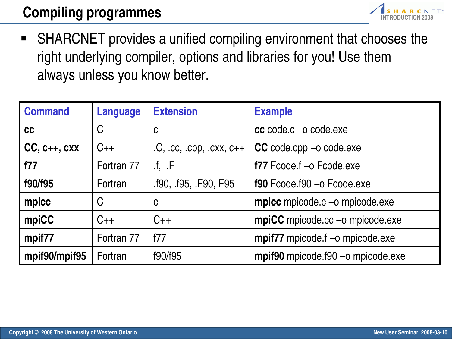## **Compiling programmes**



■ SHARCNET provides a unified compiling environment that chooses the right underlying compiler, options and libraries for you! Use them always unless you know better.

| <b>Command</b> | <b>Language</b> | <b>Extension</b>                   | <b>Example</b>                                 |
|----------------|-----------------|------------------------------------|------------------------------------------------|
| cc             | C               | C                                  | $cc \text{ code}.c -o \text{ code}$ . exe      |
| $CC, c++, cxx$ | $C++$           | $.C,$ $.Cc,$ $.Cpp,$ $.CXX,$ $C++$ | CC code.cpp -o code.exe                        |
| f77            | Fortran 77      | $\cdot$ f, $\cdot$ F               | f77 Fcode.f -o Fcode.exe                       |
| f90/f95        | Fortran         | .f90, .f95, .F90, F95              | $f90$ Fcode. $f90 - o$ Fcode.exe               |
| mpicc          | C               | $\mathbf C$                        | <b>mpicc</b> mpicode.c $\text{-}o$ mpicode.exe |
| mpiCC          | $C++$           | $C++$                              | mpiCC mpicode.cc -o mpicode.exe                |
| mpif77         | Fortran 77      | f77                                | mpif77 mpicode.f -o mpicode.exe                |
| mpif90/mpif95  | Fortran         | f90/f95                            | mpif90 mpicode.f90 -o mpicode.exe              |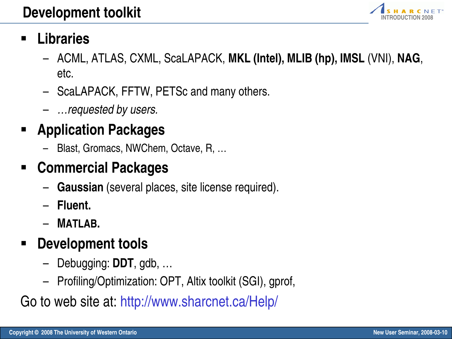

## § **Libraries**

- ACML, ATLAS, CXML, ScaLAPACK, **MKL (Intel), MLIB (hp), IMSL** (VNI), **NAG**, etc.
- ScaLAPACK, FFTW, PETSc and many others.
- …requested by users.

## § **Application Packages**

– Blast, Gromacs, NWChem, Octave, R, …

## § **Commercial Packages**

- **Gaussian** (several places, site license required).
- **Fluent.**
- **MATLAB.**

## § **Development tools**

- Debugging: **DDT**, gdb, …
- Profiling/Optimization: OPT, Altix toolkit (SGI), gprof,

Go to web site at: http://www.sharcnet.ca/Help/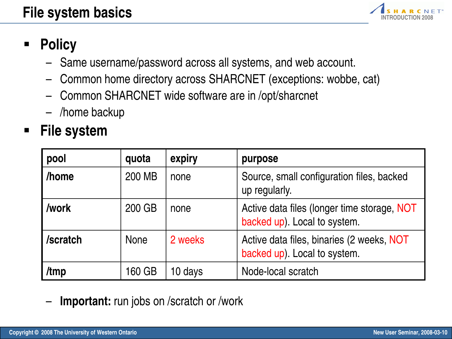

## § **Policy**

- Same username/password across all systems, and web account.
- Common home directory across SHARCNET (exceptions: wobbe, cat)
- Common SHARCNET wide software are in /opt/sharcnet
- /home backup

### § **File system**

| pool      | quota       | expiry  | purpose                                                                     |
|-----------|-------------|---------|-----------------------------------------------------------------------------|
| l /home   | 200 MB      | none    | Source, small configuration files, backed<br>up regularly.                  |
| l /work   | 200 GB      | none    | Active data files (longer time storage, NOT<br>backed up). Local to system. |
| l/scratch | <b>None</b> | 2 weeks | Active data files, binaries (2 weeks, NOT<br>backed up). Local to system.   |
| /tmp      | 160 GB      | 10 days | Node-local scratch                                                          |

**Important:** run jobs on /scratch or /work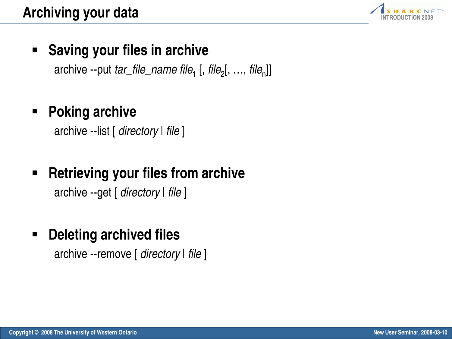

#### § **Saving your files in archive**

archive --put *tar\_file\_name file<sub>1</sub> [, file<sub>2</sub>[, ..., file<sub>n</sub>]]* 

### § **Poking archive**

archive --list [ directory | file ]

### § **Retrieving your files from archive**

archive --get [ directory | file ]

#### § **Deleting archived files**

archive --remove [ directory | file ]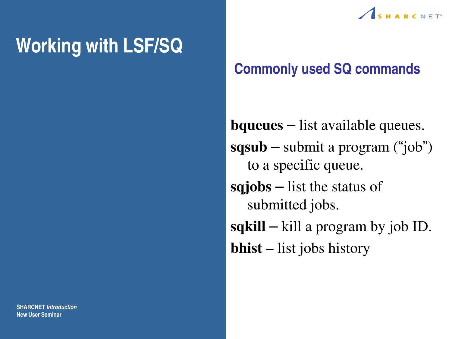# **Working with LSF/SQ**



### **Commonly used SQ commands**

**bqueues** – list available queues. **sqsub** – submit a program ("job") to a specific queue. **sqjobs** – list the status of submitted jobs. **sqkill** – kill a program by job ID. **bhist** – list jobs history

**SHARCNET Introduction New User Seminar**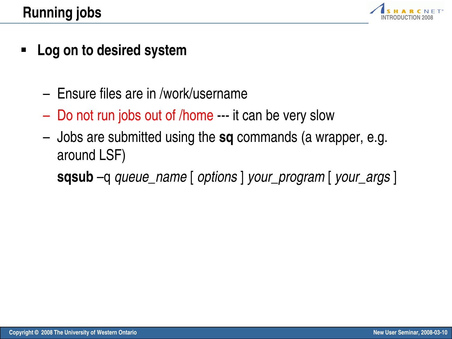

- § **Log on to desired system**
	- Ensure files are in /work/username
	- Do not run jobs out of /home --- it can be very slow
	- Jobs are submitted using the **sq** commands (a wrapper, e.g. around LSF)

**sqsub** –q queue\_name [ options ] your\_program [ your\_args ]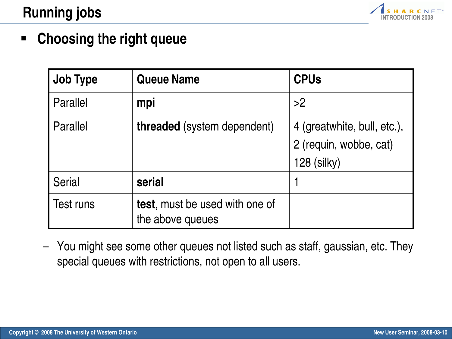

#### § **Choosing the right queue**

| <b>Job Type</b> | <b>Queue Name</b>                                  | <b>CPUs</b>                                                          |
|-----------------|----------------------------------------------------|----------------------------------------------------------------------|
| Parallel        | mpi                                                | >2                                                                   |
| Parallel        | <b>threaded</b> (system dependent)                 | 4 (greatwhite, bull, etc.),<br>2 (requin, wobbe, cat)<br>128 (silky) |
| <b>Serial</b>   | serial                                             |                                                                      |
| Test runs       | test, must be used with one of<br>the above queues |                                                                      |

– You might see some other queues not listed such as staff, gaussian, etc. They special queues with restrictions, not open to all users.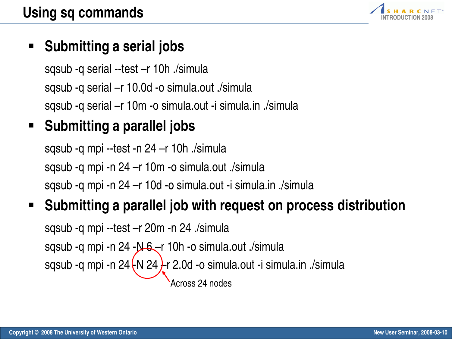

#### § **Submitting a serial jobs**

sqsub -q serial --test –r 10h ./simula sqsub -q serial –r 10.0d -o simula.out ./simula sqsub -q serial –r 10m -o simula.out -i simula.in ./simula

## § **Submitting a parallel jobs**

sqsub -q mpi --test -n 24 –r 10h ./simula sqsub -q mpi -n 24 –r 10m -o simula.out ./simula sqsub -q mpi -n 24 –r 10d -o simula.out -i simula.in ./simula

## § **Submitting a parallel job with request on process distribution**

sqsub -q mpi --test –r 20m -n 24 ./simula sqsub -q mpi -n 24 - N 6 – r 10h -o simula.out ./simula sqsub -q mpi -n  $24 \cdot N 24$  -r 2.0d -o simula.out -i simula.in ./simula Across 24 nodes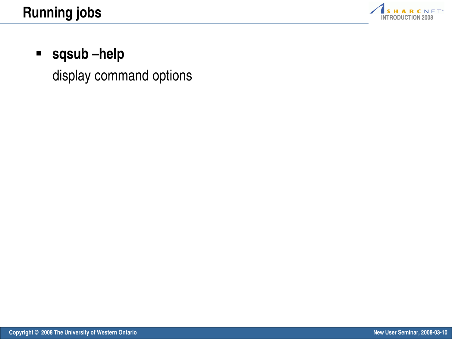

#### § **sqsub –help**

display command options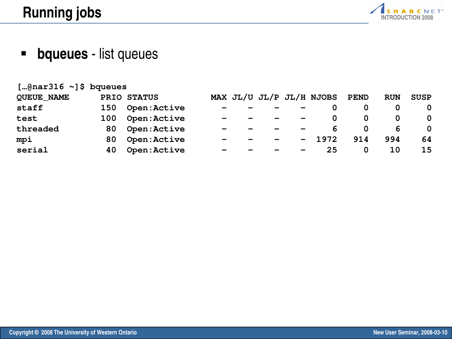**[…@nar316 ~]\$ bqueues**



§ **bqueues** - list queues

| $[$ "Grigtoro $\sim$ ] o nduenes |     |                    |                          |  |                          |                              |                               |     |            |             |
|----------------------------------|-----|--------------------|--------------------------|--|--------------------------|------------------------------|-------------------------------|-----|------------|-------------|
| <b>QUEUE NAME</b>                |     | PRIO STATUS        |                          |  |                          |                              | MAX JL/U JL/P JL/H NJOBS PEND |     | <b>RUN</b> | <b>SUSP</b> |
| staff                            | 150 | <b>Open:Active</b> | $\overline{\phantom{0}}$ |  | $\overline{\phantom{0}}$ |                              |                               |     |            |             |
| test                             | 100 | Open: Active       | $\overline{\phantom{0}}$ |  | $\overline{\phantom{0}}$ | $\qquad \qquad \blacksquare$ |                               |     |            |             |
| threaded                         |     | 80 Open: Active    | $\overline{\phantom{0}}$ |  | $\overline{\phantom{m}}$ |                              |                               |     | 6          |             |
| mpi                              | 80  | Open: Active       | $\overline{\phantom{0}}$ |  | $\overline{\phantom{0}}$ | $\sim$ $\sim$                | 1972                          | 914 | 994        | 64          |
| serial                           | 40  | Open: Active       | $\overline{\phantom{0}}$ |  | $\overline{\phantom{a}}$ | $\overline{\phantom{m}}$     | 25                            | 0   | 10         | 15          |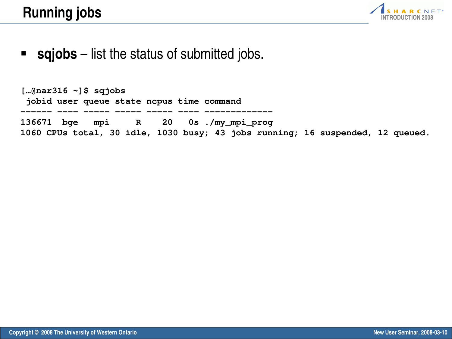

#### ■ **sqjobs** – list the status of submitted jobs.

**[…@nar316 ~]\$ sqjobs jobid user queue state ncpus time command ------ ---- ----- ----- ----- ---- ------------- 136671 bge mpi R 20 0s ./my\_mpi\_prog 1060 CPUs total, 30 idle, 1030 busy; 43 jobs running; 16 suspended, 12 queued.**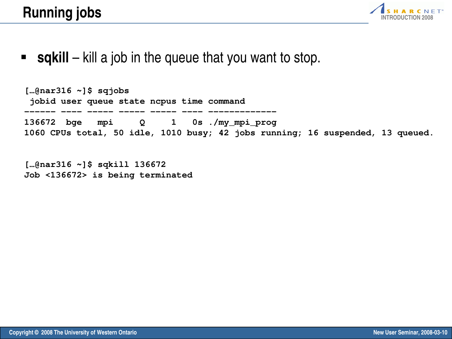

**sqkill** – kill a job in the queue that you want to stop.

**[…@nar316 ~]\$ sqjobs jobid user queue state ncpus time command ------ ---- ----- ----- ----- ---- ------------- 136672 bge mpi Q 1 0s ./my\_mpi\_prog 1060 CPUs total, 50 idle, 1010 busy; 42 jobs running; 16 suspended, 13 queued.**

**[…@nar316 ~]\$ sqkill 136672 Job <136672> is being terminated**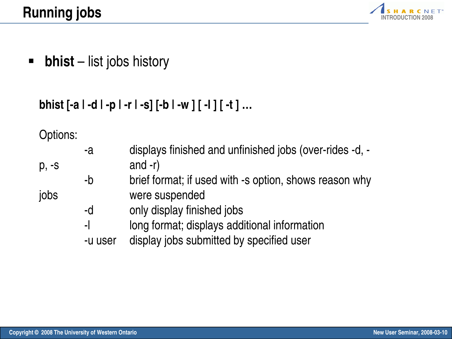

§ **bhist** – list jobs history

#### **bhist [-a | -d | -p | -r | -s] [-b | -w ] [ -l ] [ -t ] …**

Options<sup>.</sup>

| UPUULU. |         |                                                         |
|---------|---------|---------------------------------------------------------|
|         | -a      | displays finished and unfinished jobs (over-rides -d, - |
| p, -s   |         | and $-r$ )                                              |
|         | $-b$    | brief format; if used with -s option, shows reason why  |
| jobs    |         | were suspended                                          |
|         | -d      | only display finished jobs                              |
|         | $-1$    | long format; displays additional information            |
|         | -u user | display jobs submitted by specified user                |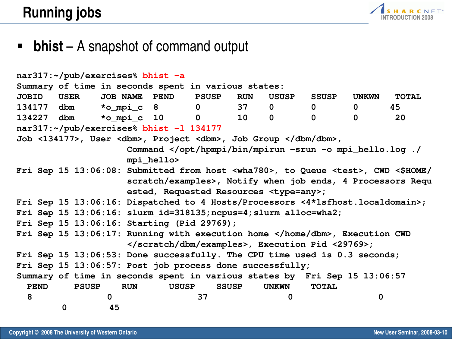

#### ■ **bhist** – A snapshot of command output

| nar317:~/pub/exercises% bhist -a                                      |      |              |              |            |               |              |              |                 |                                                   |                                                                           |              |                                                                                                     |
|-----------------------------------------------------------------------|------|--------------|--------------|------------|---------------|--------------|--------------|-----------------|---------------------------------------------------|---------------------------------------------------------------------------|--------------|-----------------------------------------------------------------------------------------------------|
| Summary of time in seconds spent in various states:                   |      |              |              |            |               |              |              |                 |                                                   |                                                                           |              |                                                                                                     |
| <b>JOBID</b>                                                          | USER |              |              |            | JOB NAME PEND | <b>PSUSP</b> |              | <b>RUN</b>      | USUSP                                             | <b>SSUSP</b>                                                              | <b>UNKWN</b> | <b>TOTAL</b>                                                                                        |
| 134177 dbm                                                            |      |              |              | *o mpi c 8 |               | $\mathbf 0$  |              | 37              | $\mathbf 0$                                       | $\mathbf 0$                                                               | $\mathbf 0$  | 45                                                                                                  |
| 134227 dbm                                                            |      |              |              |            | *o_mpi_c 10   | $\mathbf 0$  |              | 10 <sub>1</sub> | $\mathbf 0$                                       | $\mathbf 0$                                                               | $\mathbf{0}$ | 20                                                                                                  |
| nar317:~/pub/exercises% bhist -1 134177                               |      |              |              |            |               |              |              |                 |                                                   |                                                                           |              |                                                                                                     |
| Job <134177>, User <dbm>, Project <dbm>, Job Group </dbm>,</dbm>      |      |              |              |            |               |              |              |                 |                                                   |                                                                           |              |                                                                                                     |
|                                                                       |      |              |              |            |               |              |              |                 |                                                   | Command <td></td> <td></td>                                               |              |                                                                                                     |
|                                                                       |      |              |              |            | mpi_hello>    |              |              |                 |                                                   |                                                                           |              |                                                                                                     |
|                                                                       |      |              |              |            |               |              |              |                 |                                                   |                                                                           |              | Fri Sep 15 13:06:08: Submitted from host <wha780>, to Queue <test>, CWD &lt;\$HOME/</test></wha780> |
|                                                                       |      |              |              |            |               |              |              |                 |                                                   |                                                                           |              | scratch/examples>, Notify when job ends, 4 Processors Requ                                          |
|                                                                       |      |              |              |            |               |              |              |                 | ested, Requested Resources <type=any>;</type=any> |                                                                           |              |                                                                                                     |
|                                                                       |      |              |              |            |               |              |              |                 |                                                   |                                                                           |              | Fri Sep 15 13:06:16: Dispatched to 4 Hosts/Processors <4*lsfhost.localdomain>;                      |
| Fri Sep $15$ $13:06:16$ : slurm_id=318135; ncpus=4; slurm_alloc=wha2; |      |              |              |            |               |              |              |                 |                                                   |                                                                           |              |                                                                                                     |
| Fri Sep 15 13:06:16: Starting (Pid 29769);                            |      |              |              |            |               |              |              |                 |                                                   |                                                                           |              |                                                                                                     |
|                                                                       |      |              |              |            |               |              |              |                 |                                                   | Fri Sep 15 13:06:17: Running with execution home , Execution CWD          |              |                                                                                                     |
|                                                                       |      |              |              |            |               |              |              |                 |                                                   | , Execution Pid <29769>;                                                  |              |                                                                                                     |
|                                                                       |      |              |              |            |               |              |              |                 |                                                   | Fri Sep 15 13:06:53: Done successfully. The CPU time used is 0.3 seconds; |              |                                                                                                     |
| Fri Sep 15 13:06:57: Post job process done successfully;              |      |              |              |            |               |              |              |                 |                                                   |                                                                           |              |                                                                                                     |
|                                                                       |      |              |              |            |               |              |              |                 |                                                   | Summary of time in seconds spent in various states by Fri Sep 15 13:06:57 |              |                                                                                                     |
| <b>PEND</b>                                                           |      | <b>PSUSP</b> |              | <b>RUN</b> | <b>USUSP</b>  |              | <b>SSUSP</b> |                 | <b>UNKWN</b>                                      | <b>TOTAL</b>                                                              |              |                                                                                                     |
| 8                                                                     |      |              | $\mathbf{0}$ |            |               | 37           |              |                 | 0                                                 |                                                                           | 0            |                                                                                                     |
|                                                                       | 0    |              | 45           |            |               |              |              |                 |                                                   |                                                                           |              |                                                                                                     |